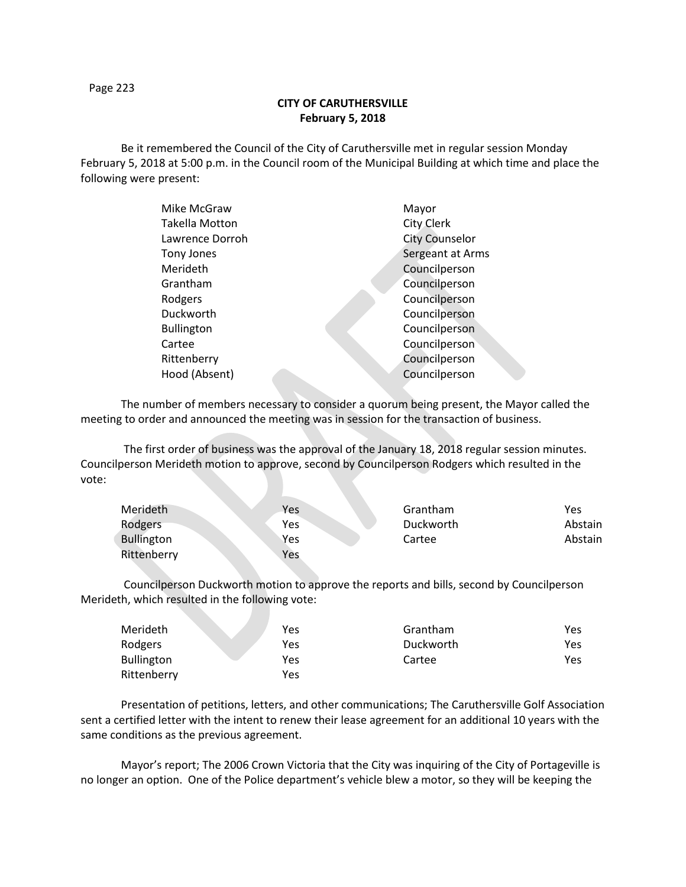Page 223

## **CITY OF CARUTHERSVILLE February 5, 2018**

Be it remembered the Council of the City of Caruthersville met in regular session Monday February 5, 2018 at 5:00 p.m. in the Council room of the Municipal Building at which time and place the following were present:

| Mike McGraw           |  | Mayor                 |
|-----------------------|--|-----------------------|
| <b>Takella Motton</b> |  | City Clerk            |
| Lawrence Dorroh       |  | <b>City Counselor</b> |
| Tony Jones            |  | Sergeant at Arms      |
| Merideth              |  | Councilperson         |
| Grantham              |  | Councilperson         |
| Rodgers               |  | Councilperson         |
| Duckworth             |  | Councilperson         |
| <b>Bullington</b>     |  | Councilperson         |
| Cartee                |  | Councilperson         |
| Rittenberry           |  | Councilperson         |
| Hood (Absent)         |  | Councilperson         |
|                       |  |                       |

The number of members necessary to consider a quorum being present, the Mayor called the meeting to order and announced the meeting was in session for the transaction of business.

The first order of business was the approval of the January 18, 2018 regular session minutes. Councilperson Merideth motion to approve, second by Councilperson Rodgers which resulted in the vote:

| Merideth          | Yes | Grantham  | Yes     |
|-------------------|-----|-----------|---------|
| Rodgers           | Yes | Duckworth | Abstain |
| <b>Bullington</b> | Yes | Cartee    | Abstain |
| Rittenberry       | Yes |           |         |

Councilperson Duckworth motion to approve the reports and bills, second by Councilperson Merideth, which resulted in the following vote:

| Merideth    | Yes | Grantham  | Yes |
|-------------|-----|-----------|-----|
| Rodgers     | Yes | Duckworth | Yes |
| Bullington  | Yes | Cartee    | Yes |
| Rittenberry | Yes |           |     |

Presentation of petitions, letters, and other communications; The Caruthersville Golf Association sent a certified letter with the intent to renew their lease agreement for an additional 10 years with the same conditions as the previous agreement.

Mayor's report; The 2006 Crown Victoria that the City was inquiring of the City of Portageville is no longer an option. One of the Police department's vehicle blew a motor, so they will be keeping the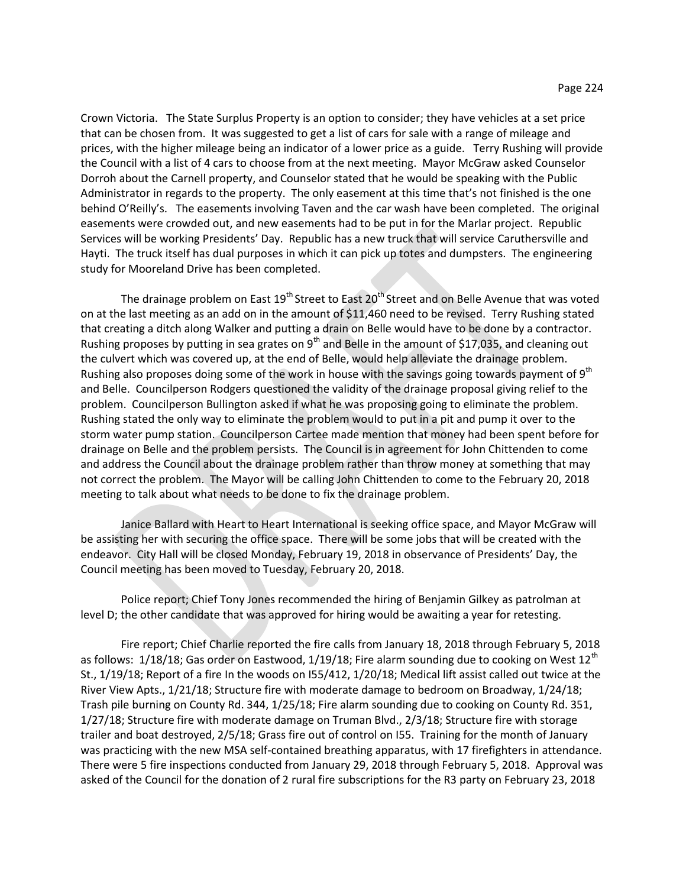Crown Victoria. The State Surplus Property is an option to consider; they have vehicles at a set price that can be chosen from. It was suggested to get a list of cars for sale with a range of mileage and prices, with the higher mileage being an indicator of a lower price as a guide. Terry Rushing will provide the Council with a list of 4 cars to choose from at the next meeting. Mayor McGraw asked Counselor Dorroh about the Carnell property, and Counselor stated that he would be speaking with the Public Administrator in regards to the property. The only easement at this time that's not finished is the one behind O'Reilly's. The easements involving Taven and the car wash have been completed. The original easements were crowded out, and new easements had to be put in for the Marlar project. Republic Services will be working Presidents' Day. Republic has a new truck that will service Caruthersville and Hayti. The truck itself has dual purposes in which it can pick up totes and dumpsters. The engineering study for Mooreland Drive has been completed.

The drainage problem on East 19<sup>th</sup> Street to East 20<sup>th</sup> Street and on Belle Avenue that was voted on at the last meeting as an add on in the amount of \$11,460 need to be revised. Terry Rushing stated that creating a ditch along Walker and putting a drain on Belle would have to be done by a contractor. Rushing proposes by putting in sea grates on  $9<sup>th</sup>$  and Belle in the amount of \$17,035, and cleaning out the culvert which was covered up, at the end of Belle, would help alleviate the drainage problem. Rushing also proposes doing some of the work in house with the savings going towards payment of  $9<sup>th</sup>$ and Belle. Councilperson Rodgers questioned the validity of the drainage proposal giving relief to the problem. Councilperson Bullington asked if what he was proposing going to eliminate the problem. Rushing stated the only way to eliminate the problem would to put in a pit and pump it over to the storm water pump station. Councilperson Cartee made mention that money had been spent before for drainage on Belle and the problem persists. The Council is in agreement for John Chittenden to come and address the Council about the drainage problem rather than throw money at something that may not correct the problem. The Mayor will be calling John Chittenden to come to the February 20, 2018 meeting to talk about what needs to be done to fix the drainage problem.

Janice Ballard with Heart to Heart International is seeking office space, and Mayor McGraw will be assisting her with securing the office space. There will be some jobs that will be created with the endeavor. City Hall will be closed Monday, February 19, 2018 in observance of Presidents' Day, the Council meeting has been moved to Tuesday, February 20, 2018.

Police report; Chief Tony Jones recommended the hiring of Benjamin Gilkey as patrolman at level D; the other candidate that was approved for hiring would be awaiting a year for retesting.

Fire report; Chief Charlie reported the fire calls from January 18, 2018 through February 5, 2018 as follows:  $1/18/18$ ; Gas order on Eastwood,  $1/19/18$ ; Fire alarm sounding due to cooking on West  $12<sup>th</sup>$ St., 1/19/18; Report of a fire In the woods on I55/412, 1/20/18; Medical lift assist called out twice at the River View Apts., 1/21/18; Structure fire with moderate damage to bedroom on Broadway, 1/24/18; Trash pile burning on County Rd. 344, 1/25/18; Fire alarm sounding due to cooking on County Rd. 351, 1/27/18; Structure fire with moderate damage on Truman Blvd., 2/3/18; Structure fire with storage trailer and boat destroyed, 2/5/18; Grass fire out of control on I55. Training for the month of January was practicing with the new MSA self-contained breathing apparatus, with 17 firefighters in attendance. There were 5 fire inspections conducted from January 29, 2018 through February 5, 2018. Approval was asked of the Council for the donation of 2 rural fire subscriptions for the R3 party on February 23, 2018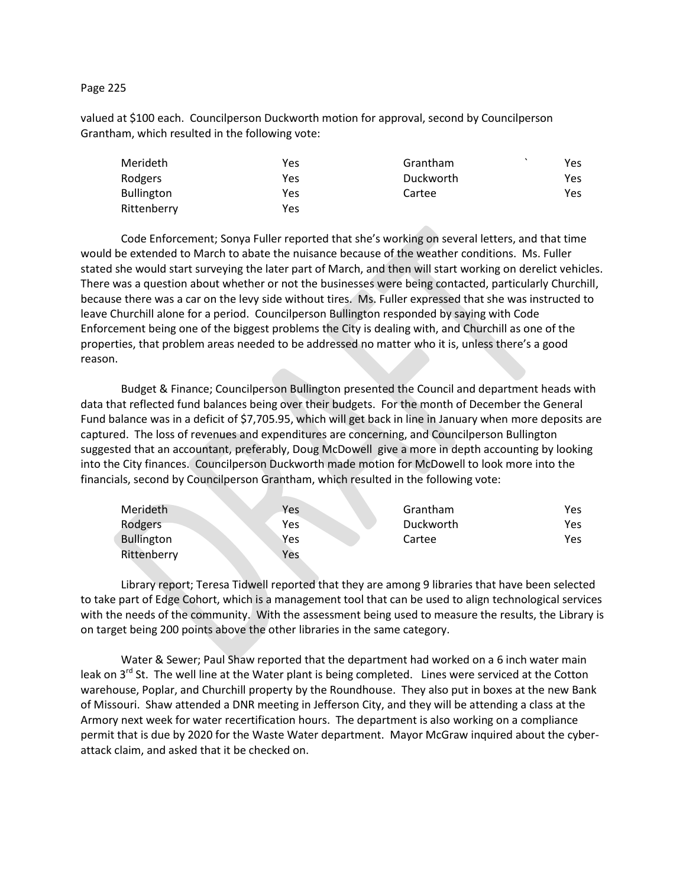## Page 225

valued at \$100 each. Councilperson Duckworth motion for approval, second by Councilperson Grantham, which resulted in the following vote:

| Merideth          | Yes | Grantham  | Yes |
|-------------------|-----|-----------|-----|
| Rodgers           | Yes | Duckworth | Yes |
| <b>Bullington</b> | Yes | Cartee    | Yes |
| Rittenberry       | Yes |           |     |

Code Enforcement; Sonya Fuller reported that she's working on several letters, and that time would be extended to March to abate the nuisance because of the weather conditions. Ms. Fuller stated she would start surveying the later part of March, and then will start working on derelict vehicles. There was a question about whether or not the businesses were being contacted, particularly Churchill, because there was a car on the levy side without tires. Ms. Fuller expressed that she was instructed to leave Churchill alone for a period. Councilperson Bullington responded by saying with Code Enforcement being one of the biggest problems the City is dealing with, and Churchill as one of the properties, that problem areas needed to be addressed no matter who it is, unless there's a good reason.

Budget & Finance; Councilperson Bullington presented the Council and department heads with data that reflected fund balances being over their budgets. For the month of December the General Fund balance was in a deficit of \$7,705.95, which will get back in line in January when more deposits are captured. The loss of revenues and expenditures are concerning, and Councilperson Bullington suggested that an accountant, preferably, Doug McDowell give a more in depth accounting by looking into the City finances. Councilperson Duckworth made motion for McDowell to look more into the financials, second by Councilperson Grantham, which resulted in the following vote:

| Merideth          | Yes. | Grantham  | Yes |
|-------------------|------|-----------|-----|
| Rodgers           | Yes  | Duckworth | Yes |
| <b>Bullington</b> | Yes  | Cartee    | Yes |
| Rittenberry       | Yes  |           |     |

Library report; Teresa Tidwell reported that they are among 9 libraries that have been selected to take part of Edge Cohort, which is a management tool that can be used to align technological services with the needs of the community. With the assessment being used to measure the results, the Library is on target being 200 points above the other libraries in the same category.

Water & Sewer; Paul Shaw reported that the department had worked on a 6 inch water main leak on 3<sup>rd</sup> St. The well line at the Water plant is being completed. Lines were serviced at the Cotton warehouse, Poplar, and Churchill property by the Roundhouse. They also put in boxes at the new Bank of Missouri. Shaw attended a DNR meeting in Jefferson City, and they will be attending a class at the Armory next week for water recertification hours. The department is also working on a compliance permit that is due by 2020 for the Waste Water department. Mayor McGraw inquired about the cyberattack claim, and asked that it be checked on.